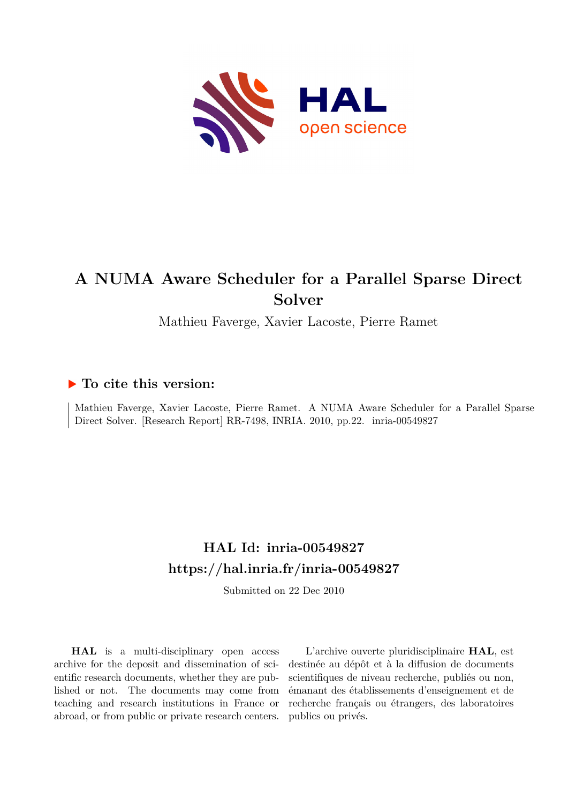

# **A NUMA Aware Scheduler for a Parallel Sparse Direct Solver**

Mathieu Faverge, Xavier Lacoste, Pierre Ramet

# **To cite this version:**

Mathieu Faverge, Xavier Lacoste, Pierre Ramet. A NUMA Aware Scheduler for a Parallel Sparse Direct Solver. [Research Report] RR-7498, INRIA. 2010, pp.22. inria-00549827

# **HAL Id: inria-00549827 <https://hal.inria.fr/inria-00549827>**

Submitted on 22 Dec 2010

**HAL** is a multi-disciplinary open access archive for the deposit and dissemination of scientific research documents, whether they are published or not. The documents may come from teaching and research institutions in France or abroad, or from public or private research centers.

L'archive ouverte pluridisciplinaire **HAL**, est destinée au dépôt et à la diffusion de documents scientifiques de niveau recherche, publiés ou non, émanant des établissements d'enseignement et de recherche français ou étrangers, des laboratoires publics ou privés.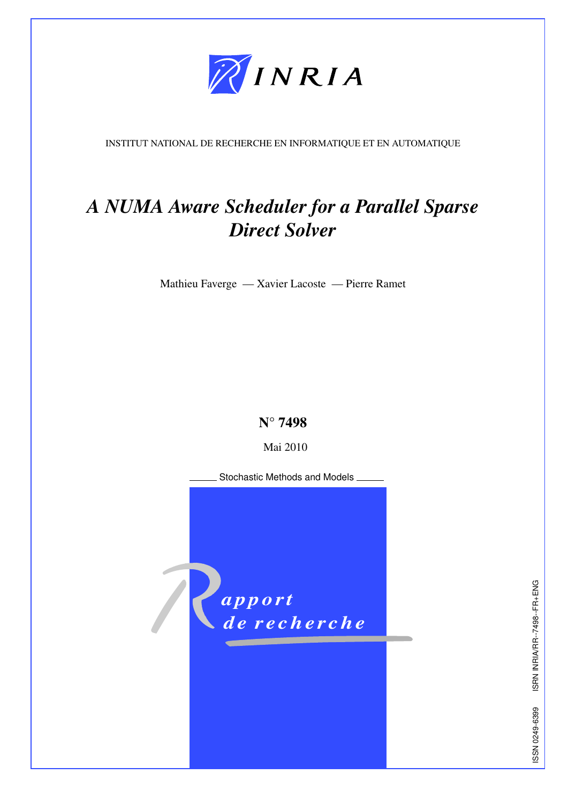

INSTITUT NATIONAL DE RECHERCHE EN INFORMATIQUE ET EN AUTOMATIQUE

# *A NUMA Aware Scheduler for a Parallel Sparse Direct Solver*

Mathieu Faverge — Xavier Lacoste — Pierre Ramet

N° 7498

Mai 2010

Stochastic Methods and Models



ISRN INRIA/RR--7498--FR+ENG UNH+EL--8677--ELYEN IN RESIN 19869-6720 NSSI ISSN 0249-6399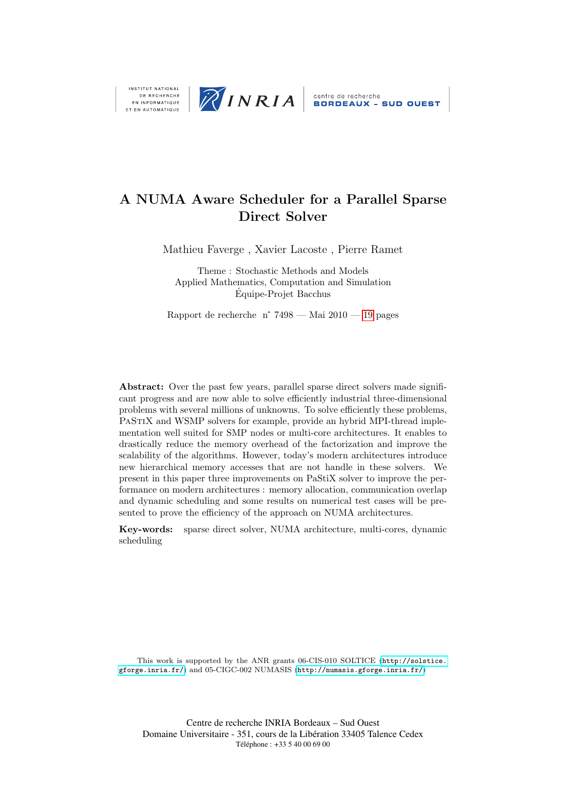

DE RECHERCHE<br>EN INFORMATIQUE ET EN AUTOMATIQUE

# A NUMA Aware Scheduler for a Parallel Sparse Direct Solver

Mathieu Faverge , Xavier Lacoste , Pierre Ramet

Theme : Stochastic Methods and Models Applied Mathematics, Computation and Simulation Equipe-Projet Bacchus ´

Rapport de recherche n° 7498 — Mai  $2010 - 19$  $2010 - 19$  pages

Abstract: Over the past few years, parallel sparse direct solvers made significant progress and are now able to solve efficiently industrial three-dimensional problems with several millions of unknowns. To solve efficiently these problems, PASTIX and WSMP solvers for example, provide an hybrid MPI-thread implementation well suited for SMP nodes or multi-core architectures. It enables to drastically reduce the memory overhead of the factorization and improve the scalability of the algorithms. However, today's modern architectures introduce new hierarchical memory accesses that are not handle in these solvers. We present in this paper three improvements on PaStiX solver to improve the performance on modern architectures : memory allocation, communication overlap and dynamic scheduling and some results on numerical test cases will be presented to prove the efficiency of the approach on NUMA architectures.

Key-words: sparse direct solver, NUMA architecture, multi-cores, dynamic scheduling

This work is supported by the ANR grants 06-CIS-010 SOLTICE ([http://solstice.](http://solstice.gforge.inria.fr/) [gforge.inria.fr/](http://solstice.gforge.inria.fr/)) and 05-CIGC-002 NUMASIS (<http://numasis.gforge.inria.fr/>)

Centre de recherche INRIA Bordeaux – Sud Ouest Domaine Universitaire - 351, cours de la Libération 33405 Talence Cedex Téléphone : +33 5 40 00 69 00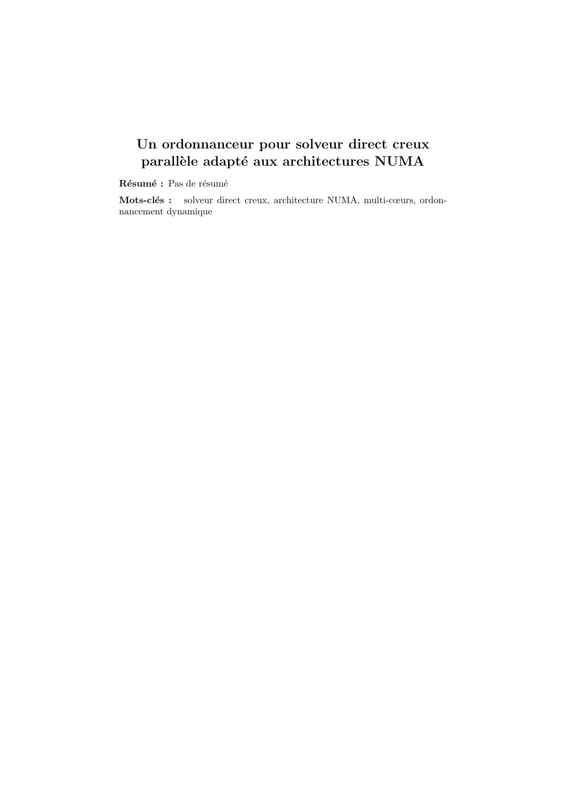# Un ordonnanceur pour solveur direct creux parallèle adapté aux architectures NUMA

 ${\bf R}$ ésumé : Pas de résumé

Mots-clés : solveur direct creux, architecture NUMA, multi-cœurs, ordonnancement dynamique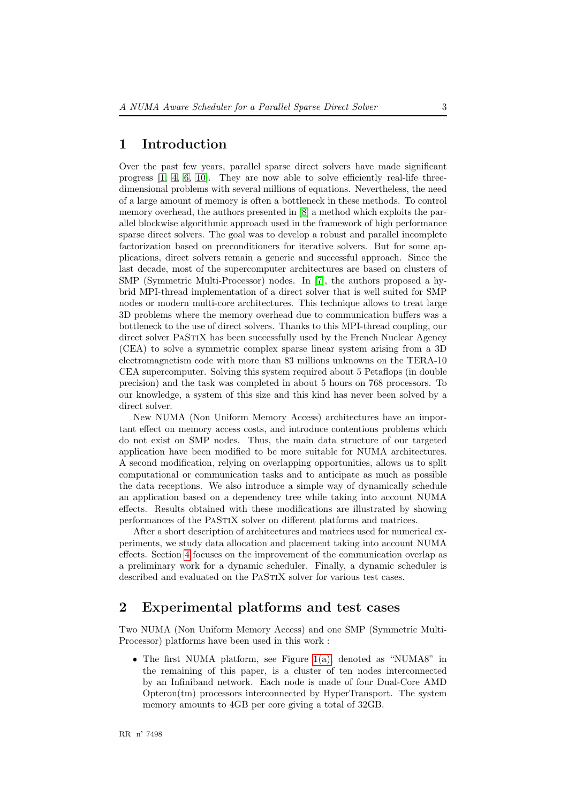## <span id="page-5-0"></span>1 Introduction

Over the past few years, parallel sparse direct solvers have made significant progress [\[1,](#page-19-0) [4,](#page-20-0) [6,](#page-20-1) [10\]](#page-20-2). They are now able to solve efficiently real-life threedimensional problems with several millions of equations. Nevertheless, the need of a large amount of memory is often a bottleneck in these methods. To control memory overhead, the authors presented in [\[8\]](#page-20-3) a method which exploits the parallel blockwise algorithmic approach used in the framework of high performance sparse direct solvers. The goal was to develop a robust and parallel incomplete factorization based on preconditioners for iterative solvers. But for some applications, direct solvers remain a generic and successful approach. Since the last decade, most of the supercomputer architectures are based on clusters of SMP (Symmetric Multi-Processor) nodes. In [\[7\]](#page-20-4), the authors proposed a hybrid MPI-thread implementation of a direct solver that is well suited for SMP nodes or modern multi-core architectures. This technique allows to treat large 3D problems where the memory overhead due to communication buffers was a bottleneck to the use of direct solvers. Thanks to this MPI-thread coupling, our direct solver PaStiX has been successfully used by the French Nuclear Agency (CEA) to solve a symmetric complex sparse linear system arising from a 3D electromagnetism code with more than 83 millions unknowns on the TERA-10 CEA supercomputer. Solving this system required about 5 Petaflops (in double precision) and the task was completed in about 5 hours on 768 processors. To our knowledge, a system of this size and this kind has never been solved by a direct solver.

New NUMA (Non Uniform Memory Access) architectures have an important effect on memory access costs, and introduce contentions problems which do not exist on SMP nodes. Thus, the main data structure of our targeted application have been modified to be more suitable for NUMA architectures. A second modification, relying on overlapping opportunities, allows us to split computational or communication tasks and to anticipate as much as possible the data receptions. We also introduce a simple way of dynamically schedule an application based on a dependency tree while taking into account NUMA effects. Results obtained with these modifications are illustrated by showing performances of the PaStiX solver on different platforms and matrices.

After a short description of architectures and matrices used for numerical experiments, we study data allocation and placement taking into account NUMA effects. Section [4](#page-12-0) focuses on the improvement of the communication overlap as a preliminary work for a dynamic scheduler. Finally, a dynamic scheduler is described and evaluated on the PASTIX solver for various test cases.

### <span id="page-5-1"></span>2 Experimental platforms and test cases

Two NUMA (Non Uniform Memory Access) and one SMP (Symmetric Multi-Processor) platforms have been used in this work :

❼ The first NUMA platform, see Figure [1\(a\),](#page-6-0) denoted as "NUMA8" in the remaining of this paper, is a cluster of ten nodes interconnected by an Infiniband network. Each node is made of four Dual-Core AMD Opteron(tm) processors interconnected by HyperTransport. The system memory amounts to 4GB per core giving a total of 32GB.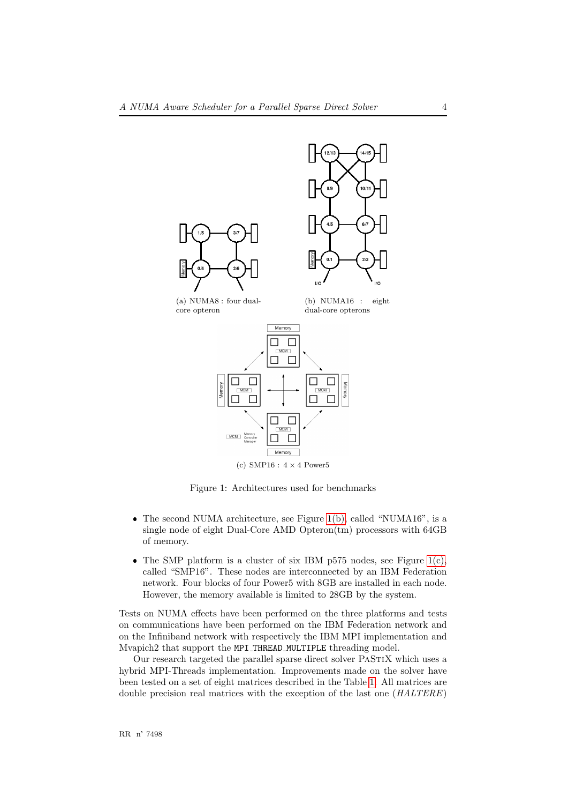<span id="page-6-1"></span><span id="page-6-0"></span>

<span id="page-6-2"></span>Figure 1: Architectures used for benchmarks

- ❼ The second NUMA architecture, see Figure [1\(b\),](#page-6-1) called "NUMA16", is a single node of eight Dual-Core AMD Opteron(tm) processors with 64GB of memory.
- The SMP platform is a cluster of six IBM p575 nodes, see Figure  $1(c)$ , called "SMP16". These nodes are interconnected by an IBM Federation network. Four blocks of four Power5 with 8GB are installed in each node. However, the memory available is limited to 28GB by the system.

Tests on NUMA effects have been performed on the three platforms and tests on communications have been performed on the IBM Federation network and on the Infiniband network with respectively the IBM MPI implementation and Mvapich2 that support the MPI THREAD MULTIPLE threading model.

Our research targeted the parallel sparse direct solver PASTIX which uses a hybrid MPI-Threads implementation. Improvements made on the solver have been tested on a set of eight matrices described in the Table [1.](#page-7-0) All matrices are double precision real matrices with the exception of the last one (HALTERE)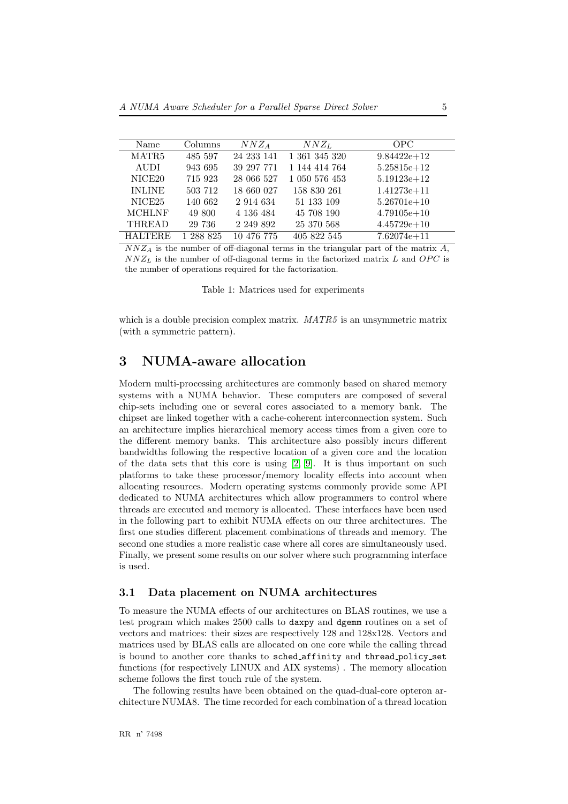| Name               | Columns   | $NNZ_A$       | $NNZ_L$       | OPC.            |
|--------------------|-----------|---------------|---------------|-----------------|
| MATR <sub>5</sub>  | 485 597   | 24 233 141    | 1 361 345 320 | $9.84422e+12$   |
| AUDI               | 943 695   | 39 297 771    | 1 144 414 764 | $5.25815e+12$   |
| NICE <sub>20</sub> | 715 923   | 28 066 527    | 1 050 576 453 | $5.19123e + 12$ |
| <b>INLINE</b>      | 503 712   | 18 660 027    | 158 830 261   | $1.41273e + 11$ |
| NICE <sub>25</sub> | 140 662   | 2 914 634     | 51 133 109    | $5.26701e+10$   |
| <b>MCHLNF</b>      | 49 800    | 4 136 484     | 45 708 190    | $4.79105e+10$   |
| <b>THREAD</b>      | 29 736    | 2 2 4 9 8 9 2 | 25 370 568    | $4.45729e+10$   |
| <b>HALTERE</b>     | 1 288 825 | 10 476 775    | 405 822 545   | $7.62074e + 11$ |

 $NNZ_A$  is the number of off-diagonal terms in the triangular part of the matrix A,  $NNZ_L$  is the number of off-diagonal terms in the factorized matrix L and OPC is the number of operations required for the factorization.

<span id="page-7-0"></span>Table 1: Matrices used for experiments

which is a double precision complex matrix.  $MATR5$  is an unsymmetric matrix (with a symmetric pattern).

# <span id="page-7-1"></span>3 NUMA-aware allocation

Modern multi-processing architectures are commonly based on shared memory systems with a NUMA behavior. These computers are composed of several chip-sets including one or several cores associated to a memory bank. The chipset are linked together with a cache-coherent interconnection system. Such an architecture implies hierarchical memory access times from a given core to the different memory banks. This architecture also possibly incurs different bandwidths following the respective location of a given core and the location of the data sets that this core is using [\[2,](#page-20-5) [9\]](#page-20-6). It is thus important on such platforms to take these processor/memory locality effects into account when allocating resources. Modern operating systems commonly provide some API dedicated to NUMA architectures which allow programmers to control where threads are executed and memory is allocated. These interfaces have been used in the following part to exhibit NUMA effects on our three architectures. The first one studies different placement combinations of threads and memory. The second one studies a more realistic case where all cores are simultaneously used. Finally, we present some results on our solver where such programming interface is used.

#### <span id="page-7-2"></span>3.1 Data placement on NUMA architectures

To measure the NUMA effects of our architectures on BLAS routines, we use a test program which makes 2500 calls to daxpy and dgemm routines on a set of vectors and matrices: their sizes are respectively 128 and 128x128. Vectors and matrices used by BLAS calls are allocated on one core while the calling thread is bound to another core thanks to sched affinity and thread policy set functions (for respectively LINUX and AIX systems) . The memory allocation scheme follows the first touch rule of the system.

The following results have been obtained on the quad-dual-core opteron architecture NUMA8. The time recorded for each combination of a thread location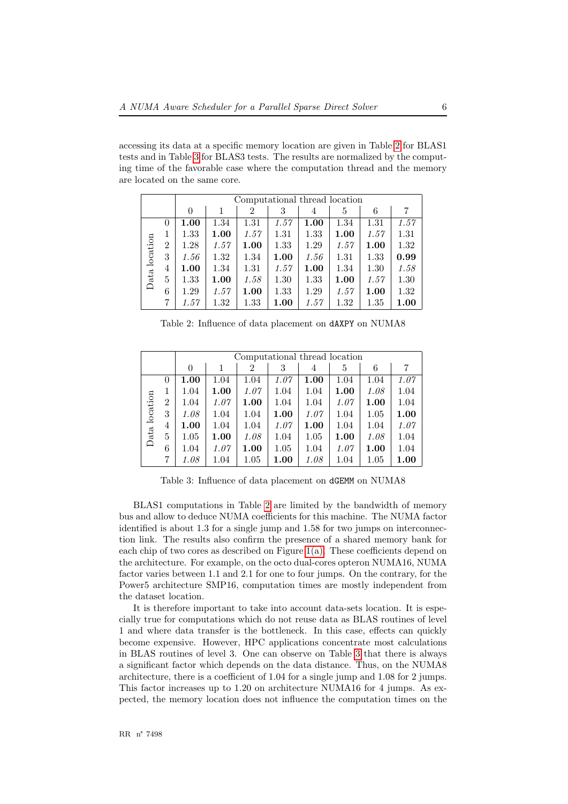accessing its data at a specific memory location are given in Table [2](#page-8-0) for BLAS1 tests and in Table [3](#page-8-1) for BLAS3 tests. The results are normalized by the computing time of the favorable case where the computation thread and the memory are located on the same core.

|               |                |          | Computational thread location |      |      |      |      |      |      |  |  |  |
|---------------|----------------|----------|-------------------------------|------|------|------|------|------|------|--|--|--|
|               |                | $\Omega$ |                               | 2    | 3    | 4    | 5    | 6    | 7    |  |  |  |
|               | 0              | 1.00     | 1.34                          | 1.31 | 1.57 | 1.00 | 1.34 | 1.31 | 1.57 |  |  |  |
|               | 1              | 1.33     | 1.00                          | 1.57 | 1.31 | 1.33 | 1.00 | 1.57 | 1.31 |  |  |  |
|               | $\overline{2}$ | 1.28     | 1.57                          | 1.00 | 1.33 | 1.29 | 1.57 | 1.00 | 1.32 |  |  |  |
| Data location | 3              | 1.56     | 1.32                          | 1.34 | 1.00 | 1.56 | 1.31 | 1.33 | 0.99 |  |  |  |
|               | 4              | 1.00     | 1.34                          | 1.31 | 1.57 | 1.00 | 1.34 | 1.30 | 1.58 |  |  |  |
|               | 5              | 1.33     | 1.00                          | 1.58 | 1.30 | 1.33 | 1.00 | 1.57 | 1.30 |  |  |  |
|               | 6              | 1.29     | 1.57                          | 1.00 | 1.33 | 1.29 | 1.57 | 1.00 | 1.32 |  |  |  |
|               | 7              | 1.57     | 1.32                          | 1.33 | 1.00 | 1.57 | 1.32 | 1.35 | 1.00 |  |  |  |

<span id="page-8-0"></span>Table 2: Influence of data placement on dAXPY on NUMA8

|               |          |          | Computational thread location |      |      |                |      |      |      |  |  |  |
|---------------|----------|----------|-------------------------------|------|------|----------------|------|------|------|--|--|--|
|               |          | $\theta$ |                               | 2    | 3    | $\overline{4}$ | 5    | 6    |      |  |  |  |
|               | $\theta$ | 1.00     | 1.04                          | 1.04 | 1.07 | 1.00           | 1.04 | 1.04 | 1.07 |  |  |  |
| Data location | 1        | 1.04     | 1.00                          | 1.07 | 1.04 | 1.04           | 1.00 | 1.08 | 1.04 |  |  |  |
|               | 2        | 1.04     | 1.07                          | 1.00 | 1.04 | 1.04           | 1.07 | 1.00 | 1.04 |  |  |  |
|               | 3        | 1.08     | 1.04                          | 1.04 | 1.00 | 1.07           | 1.04 | 1.05 | 1.00 |  |  |  |
|               | 4        | 1.00     | 1.04                          | 1.04 | 1.07 | 1.00           | 1.04 | 1.04 | 1.07 |  |  |  |
|               | 5        | 1.05     | 1.00                          | 1.08 | 1.04 | 1.05           | 1.00 | 1.08 | 1.04 |  |  |  |
|               | 6        | 1.04     | 1.07                          | 1.00 | 1.05 | 1.04           | 1.07 | 1.00 | 1.04 |  |  |  |
|               | 7        | 1.08     | 1.04                          | 1.05 | 1.00 | 1.08           | 1.04 | 1.05 | 1.00 |  |  |  |

<span id="page-8-1"></span>Table 3: Influence of data placement on dGEMM on NUMA8

BLAS1 computations in Table [2](#page-8-0) are limited by the bandwidth of memory bus and allow to deduce NUMA coefficients for this machine. The NUMA factor identified is about 1.3 for a single jump and 1.58 for two jumps on interconnection link. The results also confirm the presence of a shared memory bank for each chip of two cores as described on Figure  $1(a)$ . These coefficients depend on the architecture. For example, on the octo dual-cores opteron NUMA16, NUMA factor varies between 1.1 and 2.1 for one to four jumps. On the contrary, for the Power5 architecture SMP16, computation times are mostly independent from the dataset location.

It is therefore important to take into account data-sets location. It is especially true for computations which do not reuse data as BLAS routines of level 1 and where data transfer is the bottleneck. In this case, effects can quickly become expensive. However, HPC applications concentrate most calculations in BLAS routines of level 3. One can observe on Table [3](#page-8-1) that there is always a significant factor which depends on the data distance. Thus, on the NUMA8 architecture, there is a coefficient of 1.04 for a single jump and 1.08 for 2 jumps. This factor increases up to 1.20 on architecture NUMA16 for 4 jumps. As expected, the memory location does not influence the computation times on the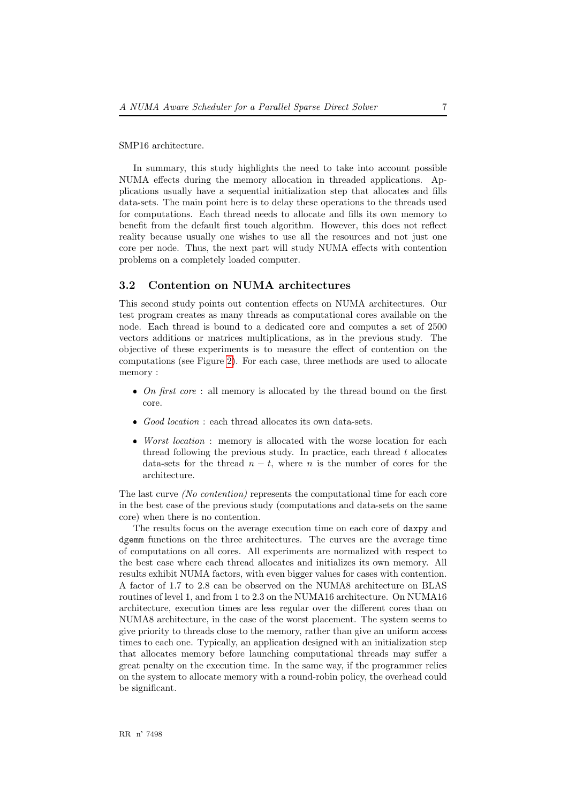#### SMP16 architecture.

In summary, this study highlights the need to take into account possible NUMA effects during the memory allocation in threaded applications. Applications usually have a sequential initialization step that allocates and fills data-sets. The main point here is to delay these operations to the threads used for computations. Each thread needs to allocate and fills its own memory to benefit from the default first touch algorithm. However, this does not reflect reality because usually one wishes to use all the resources and not just one core per node. Thus, the next part will study NUMA effects with contention problems on a completely loaded computer.

#### <span id="page-9-0"></span>3.2 Contention on NUMA architectures

This second study points out contention effects on NUMA architectures. Our test program creates as many threads as computational cores available on the node. Each thread is bound to a dedicated core and computes a set of 2500 vectors additions or matrices multiplications, as in the previous study. The objective of these experiments is to measure the effect of contention on the computations (see Figure [2\)](#page-10-0). For each case, three methods are used to allocate memory :

- On first core : all memory is allocated by the thread bound on the first core.
- ❼ Good location : each thread allocates its own data-sets.
- ❼ Worst location : memory is allocated with the worse location for each thread following the previous study. In practice, each thread  $t$  allocates data-sets for the thread  $n - t$ , where n is the number of cores for the architecture.

The last curve (No contention) represents the computational time for each core in the best case of the previous study (computations and data-sets on the same core) when there is no contention.

The results focus on the average execution time on each core of daxpy and dgemm functions on the three architectures. The curves are the average time of computations on all cores. All experiments are normalized with respect to the best case where each thread allocates and initializes its own memory. All results exhibit NUMA factors, with even bigger values for cases with contention. A factor of 1.7 to 2.8 can be observed on the NUMA8 architecture on BLAS routines of level 1, and from 1 to 2.3 on the NUMA16 architecture. On NUMA16 architecture, execution times are less regular over the different cores than on NUMA8 architecture, in the case of the worst placement. The system seems to give priority to threads close to the memory, rather than give an uniform access times to each one. Typically, an application designed with an initialization step that allocates memory before launching computational threads may suffer a great penalty on the execution time. In the same way, if the programmer relies on the system to allocate memory with a round-robin policy, the overhead could be significant.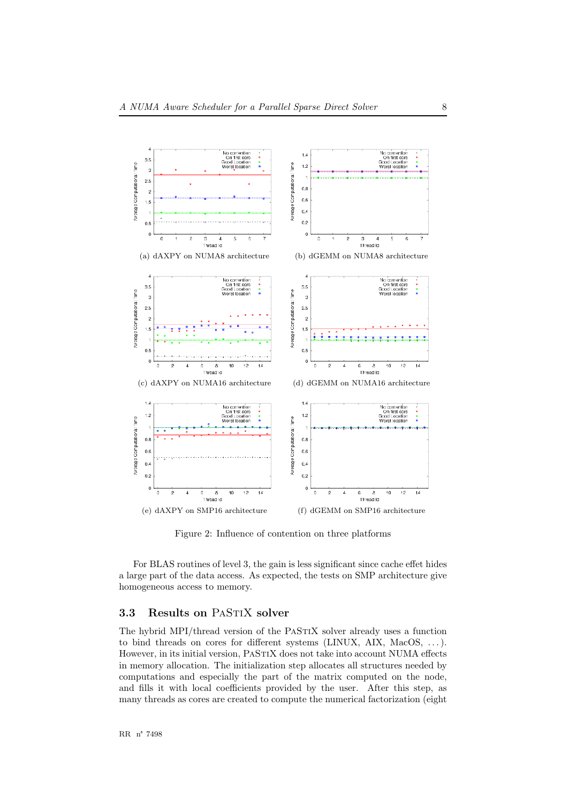

<span id="page-10-0"></span>Figure 2: Influence of contention on three platforms

For BLAS routines of level 3, the gain is less significant since cache effet hides a large part of the data access. As expected, the tests on SMP architecture give homogeneous access to memory.

#### <span id="page-10-1"></span>3.3 Results on PASTIX solver

The hybrid MPI/thread version of the PASTIX solver already uses a function to bind threads on cores for different systems (LINUX, AIX, MacOS, . . . ). However, in its initial version, PASTIX does not take into account NUMA effects in memory allocation. The initialization step allocates all structures needed by computations and especially the part of the matrix computed on the node, and fills it with local coefficients provided by the user. After this step, as many threads as cores are created to compute the numerical factorization (eight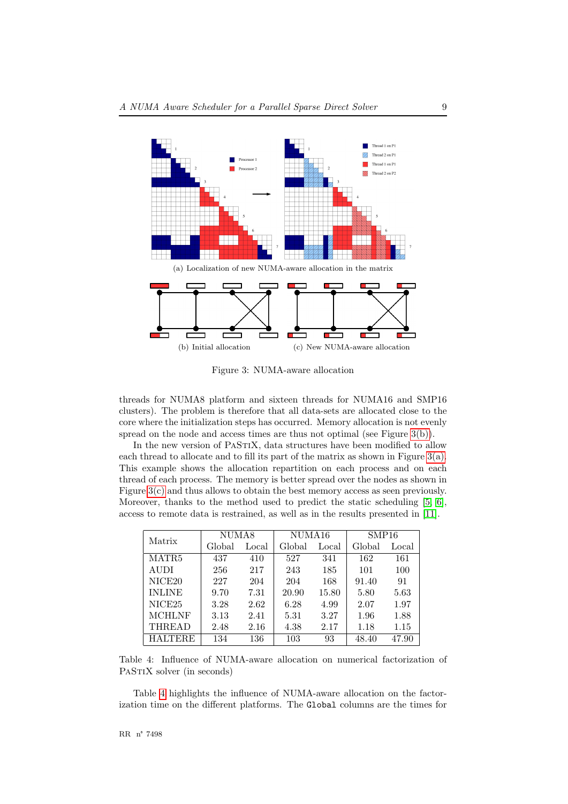<span id="page-11-1"></span>

<span id="page-11-2"></span>Figure 3: NUMA-aware allocation

<span id="page-11-0"></span>threads for NUMA8 platform and sixteen threads for NUMA16 and SMP16 clusters). The problem is therefore that all data-sets are allocated close to the core where the initialization steps has occurred. Memory allocation is not evenly spread on the node and access times are thus not optimal (see Figure [3\(b\)\)](#page-11-0).

In the new version of PASTIX, data structures have been modified to allow each thread to allocate and to fill its part of the matrix as shown in Figure  $3(a)$ . This example shows the allocation repartition on each process and on each thread of each process. The memory is better spread over the nodes as shown in Figure [3\(c\)](#page-11-2) and thus allows to obtain the best memory access as seen previously. Moreover, thanks to the method used to predict the static scheduling [\[5,](#page-20-7) [6\]](#page-20-1), access to remote data is restrained, as well as in the results presented in [\[11\]](#page-20-8).

| Matrix             | NUMA8  |       | NUMA16 |       | SMP16  |       |  |
|--------------------|--------|-------|--------|-------|--------|-------|--|
|                    | Global | Local | Global | Local | Global | Local |  |
| MATR <sub>5</sub>  | 437    | 410   | 527    | 341   | 162    | 161   |  |
| <b>AUDI</b>        | 256    | 217   | 243    | 185   | 101    | 100   |  |
| NICE <sub>20</sub> | 227    | 204   | 204    | 168   | 91.40  | 91    |  |
| <b>INLINE</b>      | 9.70   | 7.31  | 20.90  | 15.80 | 5.80   | 5.63  |  |
| NICE <sub>25</sub> | 3.28   | 2.62  | 6.28   | 4.99  | 2.07   | 1.97  |  |
| <b>MCHLNF</b>      | 3.13   | 2.41  | 5.31   | 3.27  | 1.96   | 1.88  |  |
| <b>THREAD</b>      | 2.48   | 2.16  | 4.38   | 2.17  | 1.18   | 1.15  |  |
| <b>HALTERE</b>     | 134    | 136   | 103    | 93    | 48.40  | 47.90 |  |

<span id="page-11-3"></span>Table 4: Influence of NUMA-aware allocation on numerical factorization of PASTIX solver (in seconds)

Table [4](#page-11-3) highlights the influence of NUMA-aware allocation on the factorization time on the different platforms. The Global columns are the times for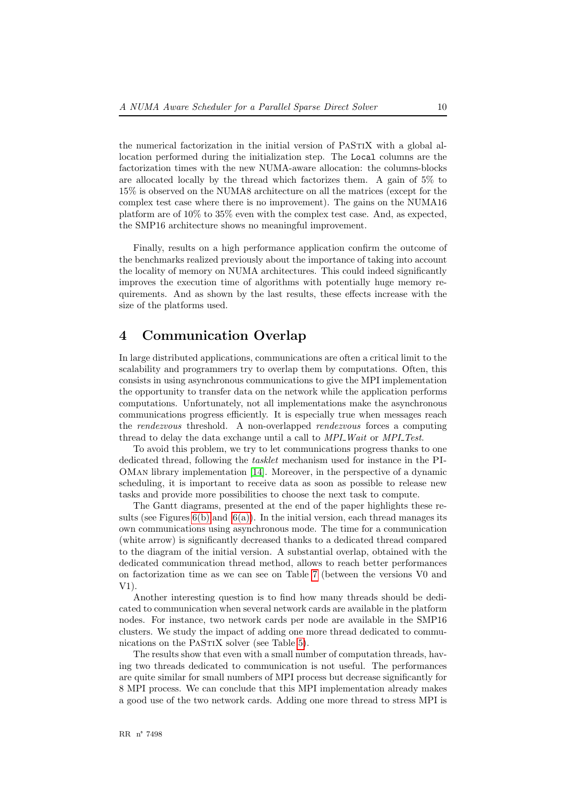the numerical factorization in the initial version of PASTIX with a global allocation performed during the initialization step. The Local columns are the factorization times with the new NUMA-aware allocation: the columns-blocks are allocated locally by the thread which factorizes them. A gain of 5% to 15% is observed on the NUMA8 architecture on all the matrices (except for the complex test case where there is no improvement). The gains on the NUMA16 platform are of 10% to 35% even with the complex test case. And, as expected, the SMP16 architecture shows no meaningful improvement.

Finally, results on a high performance application confirm the outcome of the benchmarks realized previously about the importance of taking into account the locality of memory on NUMA architectures. This could indeed significantly improves the execution time of algorithms with potentially huge memory requirements. And as shown by the last results, these effects increase with the size of the platforms used.

# <span id="page-12-0"></span>4 Communication Overlap

In large distributed applications, communications are often a critical limit to the scalability and programmers try to overlap them by computations. Often, this consists in using asynchronous communications to give the MPI implementation the opportunity to transfer data on the network while the application performs computations. Unfortunately, not all implementations make the asynchronous communications progress efficiently. It is especially true when messages reach the rendezvous threshold. A non-overlapped rendezvous forces a computing thread to delay the data exchange until a call to MPI\_Wait or MPI\_Test.

To avoid this problem, we try to let communications progress thanks to one dedicated thread, following the tasklet mechanism used for instance in the PI-OMan library implementation [\[14\]](#page-21-1). Moreover, in the perspective of a dynamic scheduling, it is important to receive data as soon as possible to release new tasks and provide more possibilities to choose the next task to compute.

The Gantt diagrams, presented at the end of the paper highlights these results (see Figures  $6(b)$  and  $6(a)$ ). In the initial version, each thread manages its own communications using asynchronous mode. The time for a communication (white arrow) is significantly decreased thanks to a dedicated thread compared to the diagram of the initial version. A substantial overlap, obtained with the dedicated communication thread method, allows to reach better performances on factorization time as we can see on Table [7](#page-18-0) (between the versions V0 and V1).

Another interesting question is to find how many threads should be dedicated to communication when several network cards are available in the platform nodes. For instance, two network cards per node are available in the SMP16 clusters. We study the impact of adding one more thread dedicated to commu-nications on the PASTIX solver (see Table [5\)](#page-13-0).

The results show that even with a small number of computation threads, having two threads dedicated to communication is not useful. The performances are quite similar for small numbers of MPI process but decrease significantly for 8 MPI process. We can conclude that this MPI implementation already makes a good use of the two network cards. Adding one more thread to stress MPI is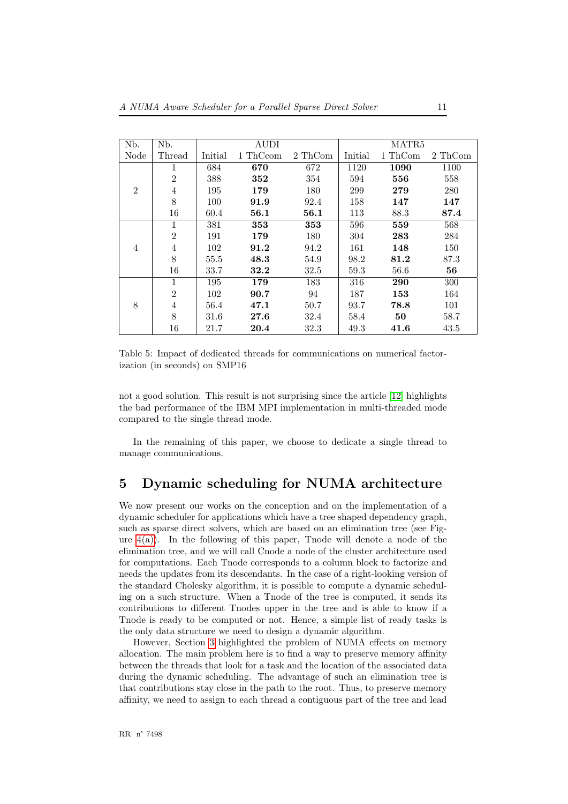| Nb.            | N <sub>b</sub> . |         | <b>AUDI</b> |            |         | MATR5   |         |
|----------------|------------------|---------|-------------|------------|---------|---------|---------|
| Node           | Thread           | Initial | 1 ThCcom    | 2 ThCom    | Initial | 1 ThCom | 2 ThCom |
|                | 1                | 684     | 670         | 672        | 1120    | 1090    | 1100    |
|                | $\overline{2}$   | 388     | 352         | 354        | 594     | 556     | 558     |
| $\mathfrak{D}$ | 4                | 195     | 179         | 180        | 299     | 279     | 280     |
|                | 8                | 100     | 91.9        | 92.4       | 158     | 147     | 147     |
|                | 16               | 60.4    | 56.1        | $\bf 56.1$ | 113     | 88.3    | 87.4    |
|                | 1                | 381     | 353         | 353        | 596     | 559     | 568     |
|                | $\overline{2}$   | 191     | 179         | 180        | 304     | 283     | 284     |
| $\overline{4}$ | 4                | 102     | 91.2        | 94.2       | 161     | 148     | 150     |
|                | 8                | 55.5    | 48.3        | 54.9       | 98.2    | 81.2    | 87.3    |
|                | 16               | 33.7    | 32.2        | 32.5       | 59.3    | 56.6    | 56      |
|                | 1                | 195     | 179         | 183        | 316     | 290     | 300     |
|                | $\overline{2}$   | 102     | 90.7        | 94         | 187     | 153     | 164     |
| 8              | 4                | 56.4    | 47.1        | 50.7       | 93.7    | 78.8    | 101     |
|                | 8                | 31.6    | 27.6        | 32.4       | 58.4    | 50      | 58.7    |
|                | 16               | 21.7    | 20.4        | 32.3       | 49.3    | 41.6    | 43.5    |

<span id="page-13-0"></span>Table 5: Impact of dedicated threads for communications on numerical factorization (in seconds) on SMP16

not a good solution. This result is not surprising since the article [\[12\]](#page-20-9) highlights the bad performance of the IBM MPI implementation in multi-threaded mode compared to the single thread mode.

In the remaining of this paper, we choose to dedicate a single thread to manage communications.

# <span id="page-13-1"></span>5 Dynamic scheduling for NUMA architecture

We now present our works on the conception and on the implementation of a dynamic scheduler for applications which have a tree shaped dependency graph, such as sparse direct solvers, which are based on an elimination tree (see Figure  $4(a)$ ). In the following of this paper, Tnode will denote a node of the elimination tree, and we will call Cnode a node of the cluster architecture used for computations. Each Tnode corresponds to a column block to factorize and needs the updates from its descendants. In the case of a right-looking version of the standard Cholesky algorithm, it is possible to compute a dynamic scheduling on a such structure. When a Tnode of the tree is computed, it sends its contributions to different Tnodes upper in the tree and is able to know if a Tnode is ready to be computed or not. Hence, a simple list of ready tasks is the only data structure we need to design a dynamic algorithm.

However, Section [3](#page-7-1) highlighted the problem of NUMA effects on memory allocation. The main problem here is to find a way to preserve memory affinity between the threads that look for a task and the location of the associated data during the dynamic scheduling. The advantage of such an elimination tree is that contributions stay close in the path to the root. Thus, to preserve memory affinity, we need to assign to each thread a contiguous part of the tree and lead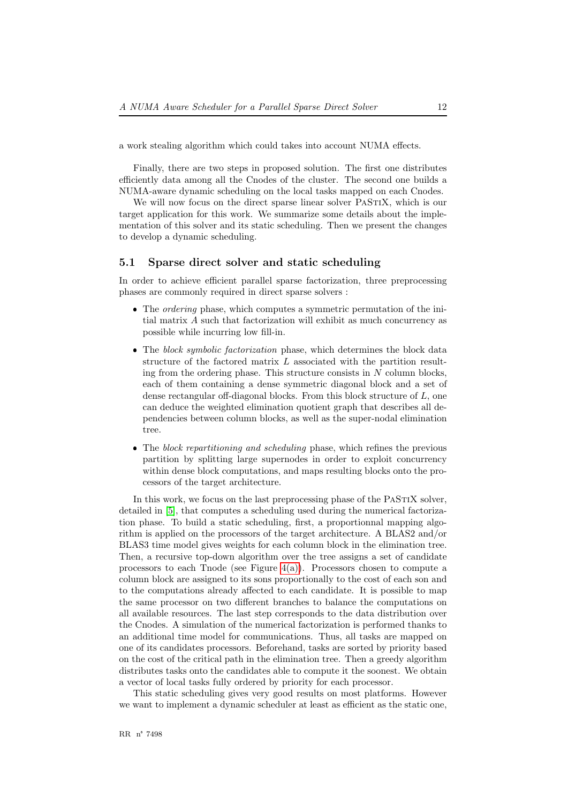a work stealing algorithm which could takes into account NUMA effects.

Finally, there are two steps in proposed solution. The first one distributes efficiently data among all the Cnodes of the cluster. The second one builds a NUMA-aware dynamic scheduling on the local tasks mapped on each Cnodes.

We will now focus on the direct sparse linear solver PASTIX, which is our target application for this work. We summarize some details about the implementation of this solver and its static scheduling. Then we present the changes to develop a dynamic scheduling.

#### <span id="page-14-0"></span>5.1 Sparse direct solver and static scheduling

In order to achieve efficient parallel sparse factorization, three preprocessing phases are commonly required in direct sparse solvers :

- ❼ The ordering phase, which computes a symmetric permutation of the initial matrix A such that factorization will exhibit as much concurrency as possible while incurring low fill-in.
- The block symbolic factorization phase, which determines the block data structure of the factored matrix L associated with the partition resulting from the ordering phase. This structure consists in  $N$  column blocks, each of them containing a dense symmetric diagonal block and a set of dense rectangular off-diagonal blocks. From this block structure of L, one can deduce the weighted elimination quotient graph that describes all dependencies between column blocks, as well as the super-nodal elimination tree.
- ❼ The block repartitioning and scheduling phase, which refines the previous partition by splitting large supernodes in order to exploit concurrency within dense block computations, and maps resulting blocks onto the processors of the target architecture.

In this work, we focus on the last preprocessing phase of the PASTIX solver, detailed in [\[5\]](#page-20-7), that computes a scheduling used during the numerical factorization phase. To build a static scheduling, first, a proportionnal mapping algorithm is applied on the processors of the target architecture. A BLAS2 and/or BLAS3 time model gives weights for each column block in the elimination tree. Then, a recursive top-down algorithm over the tree assigns a set of candidate processors to each Tnode (see Figure  $4(a)$ ). Processors chosen to compute a column block are assigned to its sons proportionally to the cost of each son and to the computations already affected to each candidate. It is possible to map the same processor on two different branches to balance the computations on all available resources. The last step corresponds to the data distribution over the Cnodes. A simulation of the numerical factorization is performed thanks to an additional time model for communications. Thus, all tasks are mapped on one of its candidates processors. Beforehand, tasks are sorted by priority based on the cost of the critical path in the elimination tree. Then a greedy algorithm distributes tasks onto the candidates able to compute it the soonest. We obtain a vector of local tasks fully ordered by priority for each processor.

This static scheduling gives very good results on most platforms. However we want to implement a dynamic scheduler at least as efficient as the static one,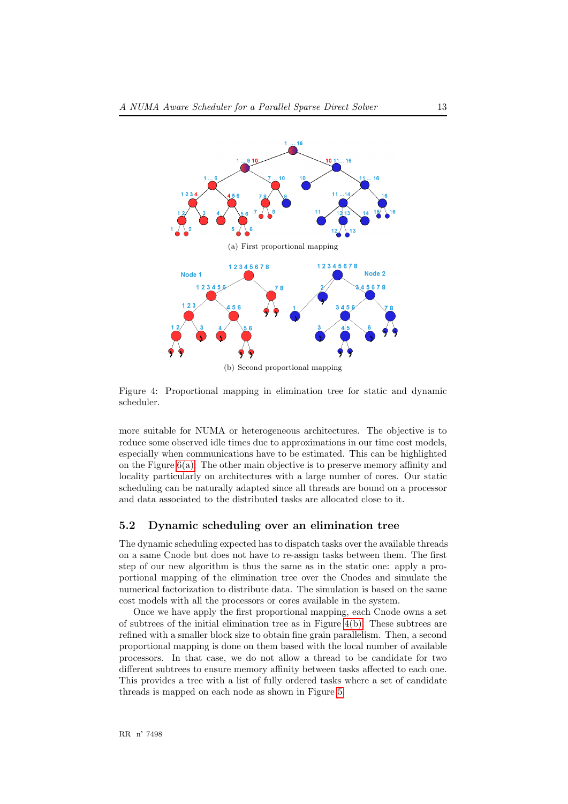<span id="page-15-0"></span>

<span id="page-15-1"></span>Figure 4: Proportional mapping in elimination tree for static and dynamic scheduler.

more suitable for NUMA or heterogeneous architectures. The objective is to reduce some observed idle times due to approximations in our time cost models, especially when communications have to be estimated. This can be highlighted on the Figure  $6(a)$ . The other main objective is to preserve memory affinity and locality particularly on architectures with a large number of cores. Our static scheduling can be naturally adapted since all threads are bound on a processor and data associated to the distributed tasks are allocated close to it.

#### <span id="page-15-2"></span>5.2 Dynamic scheduling over an elimination tree

The dynamic scheduling expected has to dispatch tasks over the available threads on a same Cnode but does not have to re-assign tasks between them. The first step of our new algorithm is thus the same as in the static one: apply a proportional mapping of the elimination tree over the Cnodes and simulate the numerical factorization to distribute data. The simulation is based on the same cost models with all the processors or cores available in the system.

Once we have apply the first proportional mapping, each Cnode owns a set of subtrees of the initial elimination tree as in Figure [4\(b\).](#page-15-1) These subtrees are refined with a smaller block size to obtain fine grain parallelism. Then, a second proportional mapping is done on them based with the local number of available processors. In that case, we do not allow a thread to be candidate for two different subtrees to ensure memory affinity between tasks affected to each one. This provides a tree with a list of fully ordered tasks where a set of candidate threads is mapped on each node as shown in Figure [5.](#page-16-0)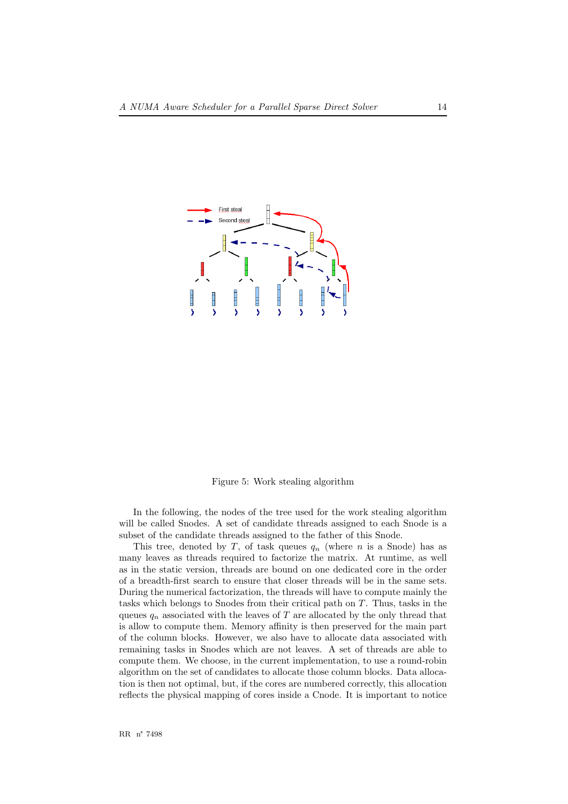

<span id="page-16-0"></span>Figure 5: Work stealing algorithm

In the following, the nodes of the tree used for the work stealing algorithm will be called Snodes. A set of candidate threads assigned to each Snode is a subset of the candidate threads assigned to the father of this Snode.

This tree, denoted by T, of task queues  $q_n$  (where n is a Snode) has as many leaves as threads required to factorize the matrix. At runtime, as well as in the static version, threads are bound on one dedicated core in the order of a breadth-first search to ensure that closer threads will be in the same sets. During the numerical factorization, the threads will have to compute mainly the tasks which belongs to Snodes from their critical path on T. Thus, tasks in the queues  $q_n$  associated with the leaves of T are allocated by the only thread that is allow to compute them. Memory affinity is then preserved for the main part of the column blocks. However, we also have to allocate data associated with remaining tasks in Snodes which are not leaves. A set of threads are able to compute them. We choose, in the current implementation, to use a round-robin algorithm on the set of candidates to allocate those column blocks. Data allocation is then not optimal, but, if the cores are numbered correctly, this allocation reflects the physical mapping of cores inside a Cnode. It is important to notice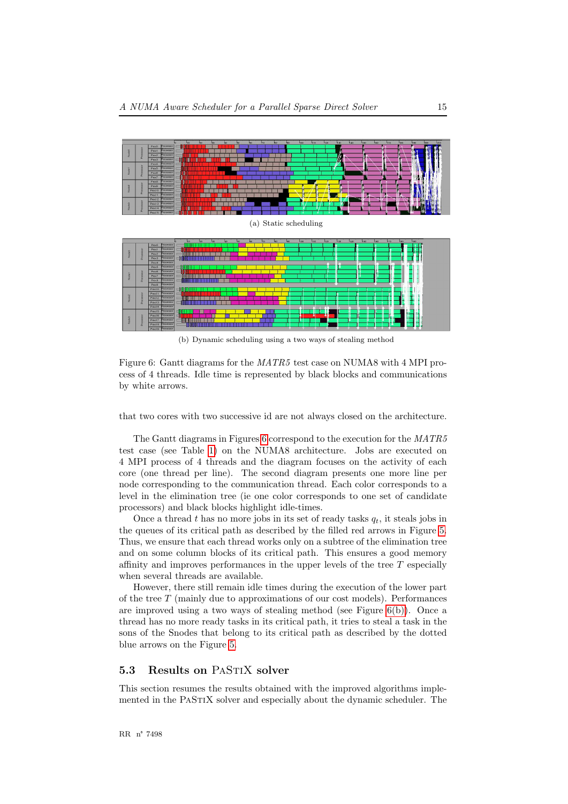<span id="page-17-1"></span>

<span id="page-17-2"></span>(b) Dynamic scheduling using a two ways of stealing method

<span id="page-17-0"></span>Figure 6: Gantt diagrams for the MATR5 test case on NUMA8 with 4 MPI process of 4 threads. Idle time is represented by black blocks and communications by white arrows.

that two cores with two successive id are not always closed on the architecture.

The Gantt diagrams in Figures [6](#page-17-2) correspond to the execution for the MATR5 test case (see Table [1\)](#page-7-0) on the NUMA8 architecture. Jobs are executed on 4 MPI process of 4 threads and the diagram focuses on the activity of each core (one thread per line). The second diagram presents one more line per node corresponding to the communication thread. Each color corresponds to a level in the elimination tree (ie one color corresponds to one set of candidate processors) and black blocks highlight idle-times.

Once a thread t has no more jobs in its set of ready tasks  $q_t$ , it steals jobs in the queues of its critical path as described by the filled red arrows in Figure [5.](#page-16-0) Thus, we ensure that each thread works only on a subtree of the elimination tree and on some column blocks of its critical path. This ensures a good memory affinity and improves performances in the upper levels of the tree  $T$  especially when several threads are available.

However, there still remain idle times during the execution of the lower part of the tree  $T$  (mainly due to approximations of our cost models). Performances are improved using a two ways of stealing method (see Figure [6\(b\)\)](#page-17-0). Once a thread has no more ready tasks in its critical path, it tries to steal a task in the sons of the Snodes that belong to its critical path as described by the dotted blue arrows on the Figure [5.](#page-16-0)

#### <span id="page-17-3"></span>5.3 Results on PaStiX solver

This section resumes the results obtained with the improved algorithms implemented in the PaStiX solver and especially about the dynamic scheduler. The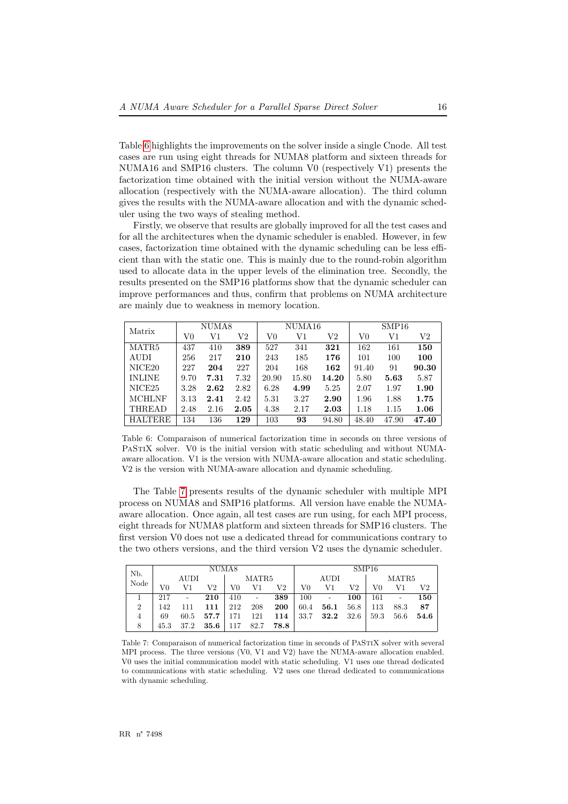Table [6](#page-18-1) highlights the improvements on the solver inside a single Cnode. All test cases are run using eight threads for NUMA8 platform and sixteen threads for NUMA16 and SMP16 clusters. The column V0 (respectively V1) presents the factorization time obtained with the initial version without the NUMA-aware allocation (respectively with the NUMA-aware allocation). The third column gives the results with the NUMA-aware allocation and with the dynamic scheduler using the two ways of stealing method.

Firstly, we observe that results are globally improved for all the test cases and for all the architectures when the dynamic scheduler is enabled. However, in few cases, factorization time obtained with the dynamic scheduling can be less efficient than with the static one. This is mainly due to the round-robin algorithm used to allocate data in the upper levels of the elimination tree. Secondly, the results presented on the SMP16 platforms show that the dynamic scheduler can improve performances and thus, confirm that problems on NUMA architecture are mainly due to weakness in memory location.

| Matrix             | NUMA8    |      |      |       | NUMA16 |       | SMP16 |       |                  |  |
|--------------------|----------|------|------|-------|--------|-------|-------|-------|------------------|--|
|                    | $\rm V0$ | V1   | V2   | V0    | V1     | V2    | V0    | V1    | $_{\mathrm{V2}}$ |  |
| MATR5              | 437      | 410  | 389  | 527   | 341    | 321   | 162   | 161   | 150              |  |
| <b>AUDI</b>        | 256      | 217  | 210  | 243   | 185    | 176   | 101   | 100   | 100              |  |
| NICE <sub>20</sub> | 227      | 204  | 227  | 204   | 168    | 162   | 91.40 | 91    | 90.30            |  |
| <b>INLINE</b>      | 9.70     | 7.31 | 7.32 | 20.90 | 15.80  | 14.20 | 5.80  | 5.63  | 5.87             |  |
| NICE <sub>25</sub> | 3.28     | 2.62 | 2.82 | 6.28  | 4.99   | 5.25  | 2.07  | 1.97  | 1.90             |  |
| <b>MCHLNF</b>      | 3.13     | 2.41 | 2.42 | 5.31  | 3.27   | 2.90  | 1.96  | 1.88  | 1.75             |  |
| <b>THREAD</b>      | 2.48     | 2.16 | 2.05 | 4.38  | 2.17   | 2.03  | 1.18  | 1.15  | 1.06             |  |
| <b>HALTERE</b>     | 134      | 136  | 129  | 103   | 93     | 94.80 | 48.40 | 47.90 | 47.40            |  |

<span id="page-18-1"></span>Table 6: Comparaison of numerical factorization time in seconds on three versions of PASTIX solver. V0 is the initial version with static scheduling and without NUMAaware allocation. V1 is the version with NUMA-aware allocation and static scheduling. V2 is the version with NUMA-aware allocation and dynamic scheduling.

The Table [7](#page-18-0) presents results of the dynamic scheduler with multiple MPI process on NUMA8 and SMP16 platforms. All version have enable the NUMAaware allocation. Once again, all test cases are run using, for each MPI process, eight threads for NUMA8 platform and sixteen threads for SMP16 clusters. The first version V0 does not use a dedicated thread for communications contrary to the two others versions, and the third version V2 uses the dynamic scheduler.

| N <sub>b</sub> . | NUMA8       |      |          |       |                |            | SMP16 |                          |      |       |      |      |
|------------------|-------------|------|----------|-------|----------------|------------|-------|--------------------------|------|-------|------|------|
| Node             | <b>AUDI</b> |      |          | MATR5 |                |            | AUDI  |                          |      | MATR5 |      |      |
|                  | V0          | V1   | V2       | V0    | V1             | V2         | V0    | V1                       | V2   | V0    | V1   | V2   |
|                  | 217         |      | 210      | 410   | $\overline{a}$ | 389        | 100   | $\overline{\phantom{a}}$ | 100  | 161   |      | 150  |
| $\overline{2}$   | 142         |      | 111      | 212   | 208            | <b>200</b> | 60.4  | 56.1                     | 56.8 | 113   | 88.3 | 87   |
| $\overline{4}$   | 69          | 60.5 | 57.7     | 171   | 121            | 114        | 33.7  | 32.2                     | 32.6 | 59.3  | 56.6 | 54.6 |
| 8                | 45.3        | 37.2 | $35.6\,$ | 117   | 82.7           | 78.8       |       |                          |      |       |      |      |

<span id="page-18-0"></span>Table 7: Comparaison of numerical factorization time in seconds of PaStiX solver with several MPI process. The three versions (V0, V1 and V2) have the NUMA-aware allocation enabled. V0 uses the initial communication model with static scheduling. V1 uses one thread dedicated to communications with static scheduling. V2 uses one thread dedicated to communications with dynamic scheduling.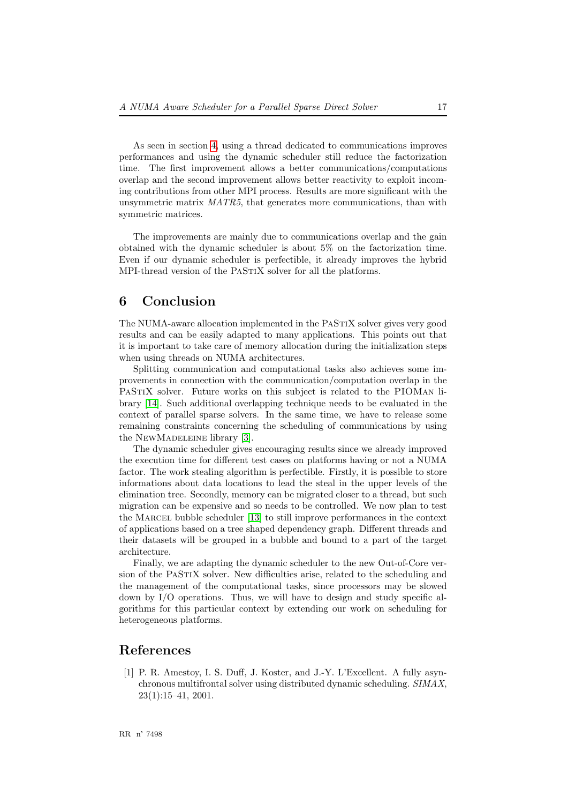As seen in section [4,](#page-12-0) using a thread dedicated to communications improves performances and using the dynamic scheduler still reduce the factorization time. The first improvement allows a better communications/computations overlap and the second improvement allows better reactivity to exploit incoming contributions from other MPI process. Results are more significant with the unsymmetric matrix MATR5, that generates more communications, than with symmetric matrices.

The improvements are mainly due to communications overlap and the gain obtained with the dynamic scheduler is about 5% on the factorization time. Even if our dynamic scheduler is perfectible, it already improves the hybrid MPI-thread version of the PASTIX solver for all the platforms.

## <span id="page-19-1"></span>6 Conclusion

The NUMA-aware allocation implemented in the PaStiX solver gives very good results and can be easily adapted to many applications. This points out that it is important to take care of memory allocation during the initialization steps when using threads on NUMA architectures.

Splitting communication and computational tasks also achieves some improvements in connection with the communication/computation overlap in the PASTIX solver. Future works on this subject is related to the PIOMAN library [\[14\]](#page-21-1). Such additional overlapping technique needs to be evaluated in the context of parallel sparse solvers. In the same time, we have to release some remaining constraints concerning the scheduling of communications by using the NEWMADELEINE library [\[3\]](#page-20-10).

The dynamic scheduler gives encouraging results since we already improved the execution time for different test cases on platforms having or not a NUMA factor. The work stealing algorithm is perfectible. Firstly, it is possible to store informations about data locations to lead the steal in the upper levels of the elimination tree. Secondly, memory can be migrated closer to a thread, but such migration can be expensive and so needs to be controlled. We now plan to test the Marcel bubble scheduler [\[13\]](#page-20-11) to still improve performances in the context of applications based on a tree shaped dependency graph. Different threads and their datasets will be grouped in a bubble and bound to a part of the target architecture.

Finally, we are adapting the dynamic scheduler to the new Out-of-Core version of the PASTIX solver. New difficulties arise, related to the scheduling and the management of the computational tasks, since processors may be slowed down by I/O operations. Thus, we will have to design and study specific algorithms for this particular context by extending our work on scheduling for heterogeneous platforms.

# References

<span id="page-19-0"></span>[1] P. R. Amestoy, I. S. Duff, J. Koster, and J.-Y. L'Excellent. A fully asynchronous multifrontal solver using distributed dynamic scheduling. SIMAX,  $23(1):15-41, 2001.$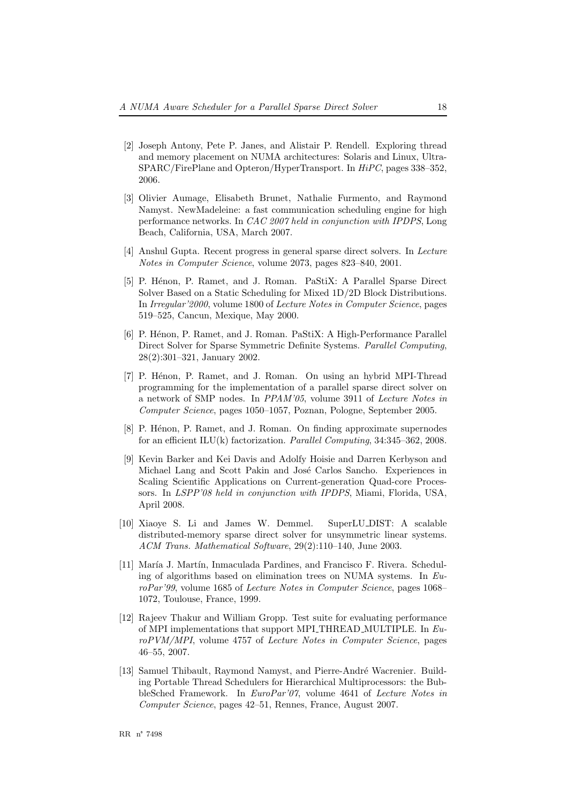- <span id="page-20-5"></span>[2] Joseph Antony, Pete P. Janes, and Alistair P. Rendell. Exploring thread and memory placement on NUMA architectures: Solaris and Linux, Ultra-SPARC/FirePlane and Opteron/HyperTransport. In HiPC, pages 338–352, 2006.
- <span id="page-20-10"></span>[3] Olivier Aumage, Elisabeth Brunet, Nathalie Furmento, and Raymond Namyst. NewMadeleine: a fast communication scheduling engine for high performance networks. In CAC 2007 held in conjunction with IPDPS, Long Beach, California, USA, March 2007.
- <span id="page-20-0"></span>[4] Anshul Gupta. Recent progress in general sparse direct solvers. In Lecture Notes in Computer Science, volume 2073, pages 823–840, 2001.
- <span id="page-20-7"></span>[5] P. Hénon, P. Ramet, and J. Roman. PaStiX: A Parallel Sparse Direct Solver Based on a Static Scheduling for Mixed 1D/2D Block Distributions. In Irregular'2000, volume 1800 of Lecture Notes in Computer Science, pages 519–525, Cancun, Mexique, May 2000.
- <span id="page-20-1"></span>[6] P. Hénon, P. Ramet, and J. Roman. PaStiX: A High-Performance Parallel Direct Solver for Sparse Symmetric Definite Systems. Parallel Computing, 28(2):301–321, January 2002.
- <span id="page-20-4"></span>[7] P. Hénon, P. Ramet, and J. Roman. On using an hybrid MPI-Thread programming for the implementation of a parallel sparse direct solver on a network of SMP nodes. In PPAM'05, volume 3911 of Lecture Notes in Computer Science, pages 1050–1057, Poznan, Pologne, September 2005.
- <span id="page-20-3"></span>[8] P. Hénon, P. Ramet, and J. Roman. On finding approximate supernodes for an efficient ILU(k) factorization. Parallel Computing, 34:345–362, 2008.
- <span id="page-20-6"></span>[9] Kevin Barker and Kei Davis and Adolfy Hoisie and Darren Kerbyson and Michael Lang and Scott Pakin and José Carlos Sancho. Experiences in Scaling Scientific Applications on Current-generation Quad-core Processors. In LSPP'08 held in conjunction with IPDPS, Miami, Florida, USA, April 2008.
- <span id="page-20-2"></span>[10] Xiaoye S. Li and James W. Demmel. SuperLU DIST: A scalable distributed-memory sparse direct solver for unsymmetric linear systems. ACM Trans. Mathematical Software, 29(2):110–140, June 2003.
- <span id="page-20-8"></span>[11] María J. Martín, Inmaculada Pardines, and Francisco F. Rivera. Scheduling of algorithms based on elimination trees on NUMA systems. In  $Eu$ roPar'99, volume 1685 of Lecture Notes in Computer Science, pages 1068– 1072, Toulouse, France, 1999.
- <span id="page-20-9"></span>[12] Rajeev Thakur and William Gropp. Test suite for evaluating performance of MPI implementations that support MPI THREAD MULTIPLE. In EuroPVM/MPI, volume 4757 of Lecture Notes in Computer Science, pages 46–55, 2007.
- <span id="page-20-11"></span>[13] Samuel Thibault, Raymond Namyst, and Pierre-André Wacrenier. Building Portable Thread Schedulers for Hierarchical Multiprocessors: the BubbleSched Framework. In EuroPar'07, volume 4641 of Lecture Notes in Computer Science, pages 42–51, Rennes, France, August 2007.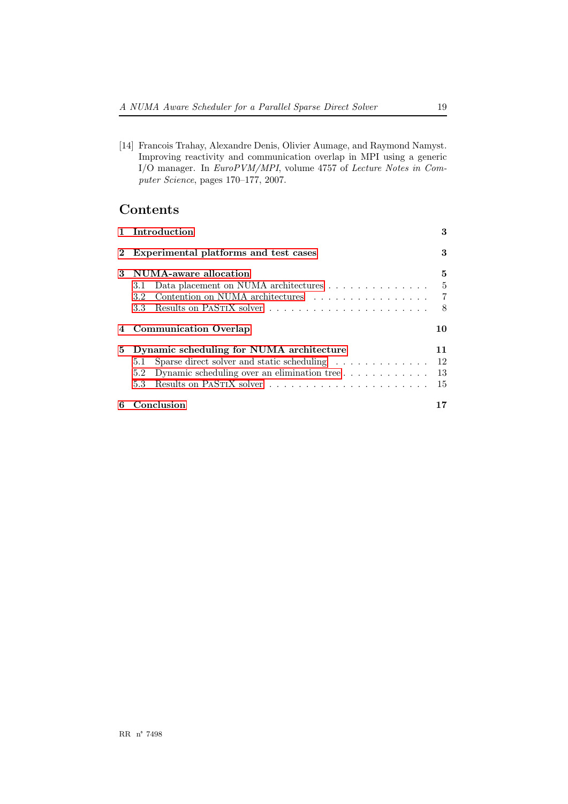<span id="page-21-1"></span>[14] Francois Trahay, Alexandre Denis, Olivier Aumage, and Raymond Namyst. Improving reactivity and communication overlap in MPI using a generic I/O manager. In EuroPVM/MPI, volume 4757 of Lecture Notes in Computer Science, pages 170–177, 2007.

# Contents

<span id="page-21-0"></span>

|          | 1 Introduction                                                                  | 3              |
|----------|---------------------------------------------------------------------------------|----------------|
| $\bf{2}$ | Experimental platforms and test cases                                           | 3              |
| 3        | NUMA-aware allocation                                                           | 5              |
|          | Data placement on NUMA architectures<br>3.1                                     | -5             |
|          | Contention on NUMA architectures $\ldots \ldots \ldots \ldots \ldots$<br>3.2    | $\overline{7}$ |
|          | 3.3                                                                             | -8             |
|          | <b>Communication Overlap</b>                                                    | 10             |
| 5.       | Dynamic scheduling for NUMA architecture                                        | 11             |
|          | Sparse direct solver and static scheduling $\ldots \ldots \ldots \ldots$<br>5.1 | 12             |
|          | 5.2                                                                             | -13            |
|          | $5.3^{\circ}$                                                                   | 15             |
| 6        | Conclusion                                                                      |                |